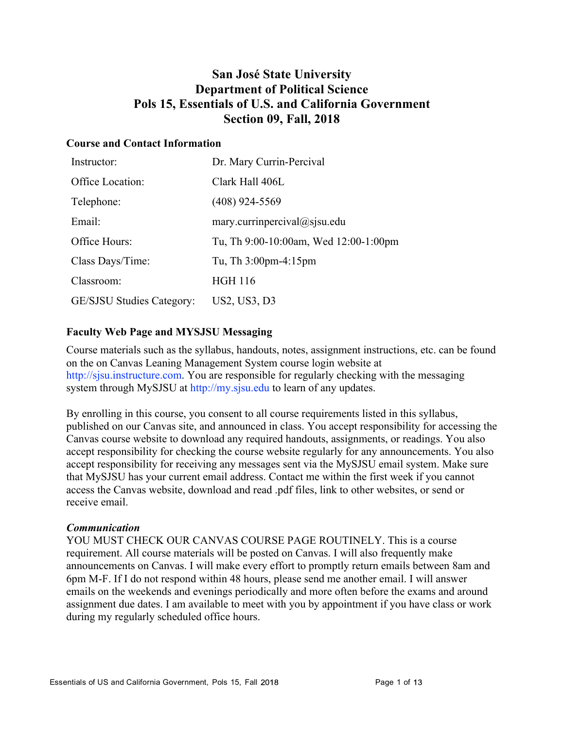# **San José State University Department of Political Science Pols 15, Essentials of U.S. and California Government Section 09, Fall, 2018**

### **Course and Contact Information**

| Instructor:                      | Dr. Mary Currin-Percival              |
|----------------------------------|---------------------------------------|
| Office Location:                 | Clark Hall 406L                       |
| Telephone:                       | $(408)$ 924-5569                      |
| Email:                           | mary.currinpercival@sjsu.edu          |
| Office Hours:                    | Tu, Th 9:00-10:00am, Wed 12:00-1:00pm |
| Class Days/Time:                 | Tu, Th $3:00$ pm-4:15pm               |
| Classroom:                       | <b>HGH 116</b>                        |
| <b>GE/SJSU Studies Category:</b> | US2, US3, D3                          |

### **Faculty Web Page and MYSJSU Messaging**

Course materials such as the syllabus, handouts, notes, assignment instructions, etc. can be found on the on Canvas Leaning Management System course login website at http://sjsu.instructure.com. You are responsible for regularly checking with the messaging system through MySJSU at http://my.sjsu.edu to learn of any updates.

By enrolling in this course, you consent to all course requirements listed in this syllabus, published on our Canvas site, and announced in class. You accept responsibility for accessing the Canvas course website to download any required handouts, assignments, or readings. You also accept responsibility for checking the course website regularly for any announcements. You also accept responsibility for receiving any messages sent via the MySJSU email system. Make sure that MySJSU has your current email address. Contact me within the first week if you cannot access the Canvas website, download and read .pdf files, link to other websites, or send or receive email.

### *Communication*

YOU MUST CHECK OUR CANVAS COURSE PAGE ROUTINELY. This is a course requirement. All course materials will be posted on Canvas. I will also frequently make announcements on Canvas. I will make every effort to promptly return emails between 8am and 6pm M-F. If I do not respond within 48 hours, please send me another email. I will answer emails on the weekends and evenings periodically and more often before the exams and around assignment due dates. I am available to meet with you by appointment if you have class or work during my regularly scheduled office hours.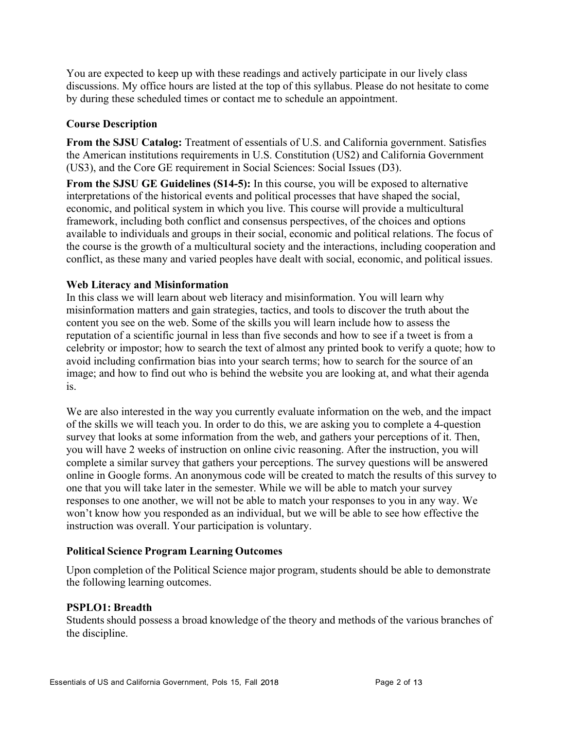You are expected to keep up with these readings and actively participate in our lively class discussions. My office hours are listed at the top of this syllabus. Please do not hesitate to come by during these scheduled times or contact me to schedule an appointment.

### **Course Description**

**From the SJSU Catalog:** Treatment of essentials of U.S. and California government. Satisfies the American institutions requirements in U.S. Constitution (US2) and California Government (US3), and the Core GE requirement in Social Sciences: Social Issues (D3).

**From the SJSU GE Guidelines (S14-5):** In this course, you will be exposed to alternative interpretations of the historical events and political processes that have shaped the social, economic, and political system in which you live. This course will provide a multicultural framework, including both conflict and consensus perspectives, of the choices and options available to individuals and groups in their social, economic and political relations. The focus of the course is the growth of a multicultural society and the interactions, including cooperation and conflict, as these many and varied peoples have dealt with social, economic, and political issues.

### **Web Literacy and Misinformation**

In this class we will learn about web literacy and misinformation. You will learn why misinformation matters and gain strategies, tactics, and tools to discover the truth about the content you see on the web. Some of the skills you will learn include how to assess the reputation of a scientific journal in less than five seconds and how to see if a tweet is from a celebrity or impostor; how to search the text of almost any printed book to verify a quote; how to avoid including confirmation bias into your search terms; how to search for the source of an image; and how to find out who is behind the website you are looking at, and what their agenda is.

We are also interested in the way you currently evaluate information on the web, and the impact of the skills we will teach you. In order to do this, we are asking you to complete a 4-question survey that looks at some information from the web, and gathers your perceptions of it. Then, you will have 2 weeks of instruction on online civic reasoning. After the instruction, you will complete a similar survey that gathers your perceptions. The survey questions will be answered online in Google forms. An anonymous code will be created to match the results of this survey to one that you will take later in the semester. While we will be able to match your survey responses to one another, we will not be able to match your responses to you in any way. We won't know how you responded as an individual, but we will be able to see how effective the instruction was overall. Your participation is voluntary.

### **Political Science Program Learning Outcomes**

Upon completion of the Political Science major program, students should be able to demonstrate the following learning outcomes.

### **PSPLO1: Breadth**

Students should possess a broad knowledge of the theory and methods of the various branches of the discipline.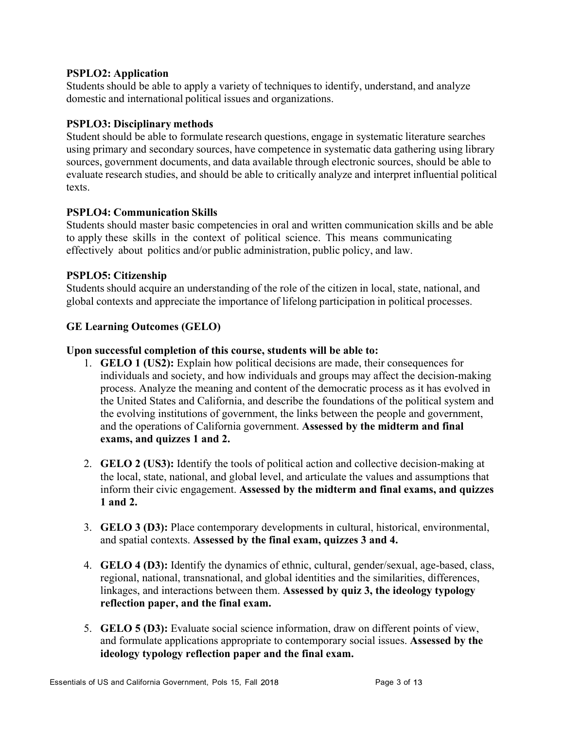### **PSPLO2: Application**

Students should be able to apply a variety of techniques to identify, understand, and analyze domestic and international political issues and organizations.

### **PSPLO3: Disciplinary methods**

Student should be able to formulate research questions, engage in systematic literature searches using primary and secondary sources, have competence in systematic data gathering using library sources, government documents, and data available through electronic sources, should be able to evaluate research studies, and should be able to critically analyze and interpret influential political texts.

### **PSPLO4: Communication Skills**

Students should master basic competencies in oral and written communication skills and be able to apply these skills in the context of political science. This means communicating effectively about politics and/or public administration, public policy, and law.

### **PSPLO5: Citizenship**

Students should acquire an understanding of the role of the citizen in local, state, national, and global contexts and appreciate the importance of lifelong participation in political processes.

### **GE Learning Outcomes (GELO)**

### **Upon successful completion of this course, students will be able to:**

- 1. **GELO 1 (US2):** Explain how political decisions are made, their consequences for individuals and society, and how individuals and groups may affect the decision-making process. Analyze the meaning and content of the democratic process as it has evolved in the United States and California, and describe the foundations of the political system and the evolving institutions of government, the links between the people and government, and the operations of California government. **Assessed by the midterm and final exams, and quizzes 1 and 2.**
- 2. **GELO 2 (US3):** Identify the tools of political action and collective decision-making at the local, state, national, and global level, and articulate the values and assumptions that inform their civic engagement. **Assessed by the midterm and final exams, and quizzes 1 and 2.**
- 3. **GELO 3 (D3):** Place contemporary developments in cultural, historical, environmental, and spatial contexts. **Assessed by the final exam, quizzes 3 and 4.**
- 4. **GELO 4 (D3):** Identify the dynamics of ethnic, cultural, gender/sexual, age-based, class, regional, national, transnational, and global identities and the similarities, differences, linkages, and interactions between them. **Assessed by quiz 3, the ideology typology reflection paper, and the final exam.**
- 5. **GELO 5 (D3):** Evaluate social science information, draw on different points of view, and formulate applications appropriate to contemporary social issues. **Assessed by the ideology typology reflection paper and the final exam.**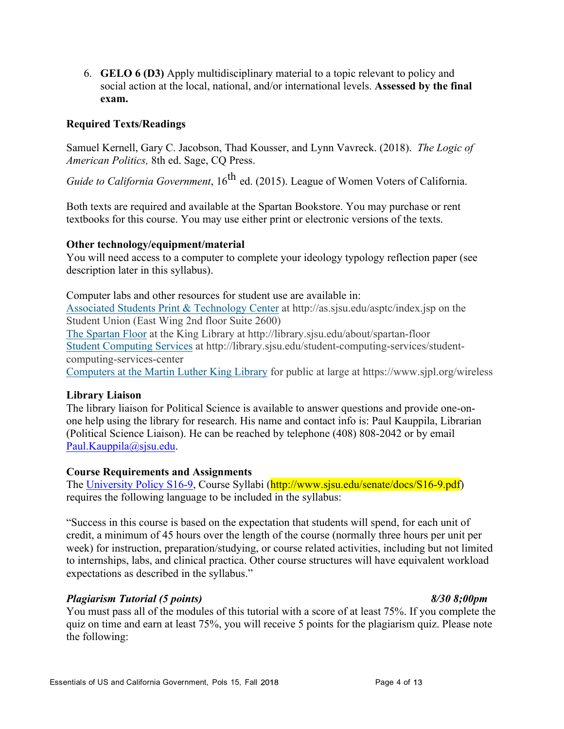6. **GELO 6 (D3)** Apply multidisciplinary material to a topic relevant to policy and social action at the local, national, and/or international levels. **Assessed by the final exam.**

### **Required Texts/Readings**

Samuel Kernell, Gary C. Jacobson, Thad Kousser, and Lynn Vavreck. (2018). *The Logic of American Politics,* 8th ed. Sage, CQ Press.

*Guide to California Government*, 16<sup>th</sup> ed. (2015). League of Women Voters of California.

Both texts are required and available at the Spartan Bookstore. You may purchase or rent textbooks for this course. You may use either print or electronic versions of the texts.

### **Other technology/equipment/material**

You will need access to a computer to complete your ideology typology reflection paper (see description later in this syllabus).

Computer labs and other resources for student use are available in: Associated Students Print & Technology Center at http://as.sjsu.edu/asptc/index.jsp on the Student Union (East Wing 2nd floor Suite 2600)

The Spartan Floor at the King Library at http://library.sjsu.edu/about/spartan-floor Student Computing Services at http://library.sjsu.edu/student-computing-services/studentcomputing-services-center

Computers at the Martin Luther King Library for public at large at https://www.sjpl.org/wireless

### **Library Liaison**

The library liaison for Political Science is available to answer questions and provide one-onone help using the library for research. His name and contact info is: Paul Kauppila, Librarian (Political Science Liaison). He can be reached by telephone (408) 808-2042 or by email Paul.Kauppila@sjsu.edu.

### **Course Requirements and Assignments**

The University Policy S16-9, Course Syllabi (http://www.sjsu.edu/senate/docs/S16-9.pdf) requires the following language to be included in the syllabus:

"Success in this course is based on the expectation that students will spend, for each unit of credit, a minimum of 45 hours over the length of the course (normally three hours per unit per week) for instruction, preparation/studying, or course related activities, including but not limited to internships, labs, and clinical practica. Other course structures will have equivalent workload expectations as described in the syllabus."

### *Plagiarism Tutorial (5 points) 8/30 8;00pm*

You must pass all of the modules of this tutorial with a score of at least 75%. If you complete the quiz on time and earn at least 75%, you will receive 5 points for the plagiarism quiz. Please note the following: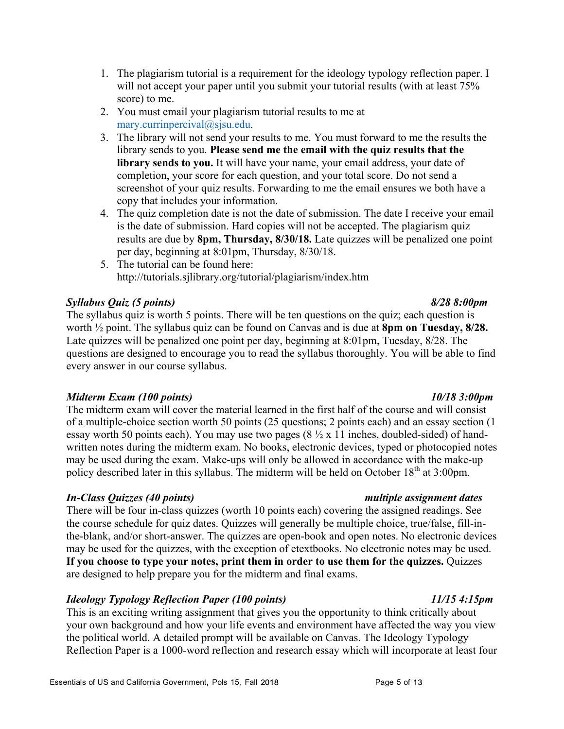- 1. The plagiarism tutorial is a requirement for the ideology typology reflection paper. I will not accept your paper until you submit your tutorial results (with at least  $75\%$ score) to me.
- 2. You must email your plagiarism tutorial results to me at mary.currinpercival@sjsu.edu.
- 3. The library will not send your results to me. You must forward to me the results the library sends to you. **Please send me the email with the quiz results that the library sends to you.** It will have your name, your email address, your date of completion, your score for each question, and your total score. Do not send a screenshot of your quiz results. Forwarding to me the email ensures we both have a copy that includes your information.
- 4. The quiz completion date is not the date of submission. The date I receive your email is the date of submission. Hard copies will not be accepted. The plagiarism quiz results are due by **8pm, Thursday, 8/30/18.** Late quizzes will be penalized one point per day, beginning at 8:01pm, Thursday, 8/30/18.
- 5. The tutorial can be found here: http://tutorials.sjlibrary.org/tutorial/plagiarism/index.htm

# *Syllabus Quiz (5 points) 8/28 8:00pm*

The syllabus quiz is worth 5 points. There will be ten questions on the quiz; each question is worth ½ point. The syllabus quiz can be found on Canvas and is due at **8pm on Tuesday, 8/28.**  Late quizzes will be penalized one point per day, beginning at 8:01pm, Tuesday, 8/28. The questions are designed to encourage you to read the syllabus thoroughly. You will be able to find every answer in our course syllabus.

### *Midterm Exam (100 points) 10/18 3:00pm*

The midterm exam will cover the material learned in the first half of the course and will consist of a multiple-choice section worth 50 points (25 questions; 2 points each) and an essay section (1 essay worth 50 points each). You may use two pages  $(8 \frac{1}{2} \times 11)$  inches, doubled-sided) of handwritten notes during the midterm exam. No books, electronic devices, typed or photocopied notes may be used during the exam. Make-ups will only be allowed in accordance with the make-up policy described later in this syllabus. The midterm will be held on October  $18<sup>th</sup>$  at 3:00pm.

# *In-Class Quizzes (40 points) multiple assignment dates*

There will be four in-class quizzes (worth 10 points each) covering the assigned readings. See the course schedule for quiz dates. Quizzes will generally be multiple choice, true/false, fill-inthe-blank, and/or short-answer. The quizzes are open-book and open notes. No electronic devices may be used for the quizzes, with the exception of etextbooks. No electronic notes may be used. **If you choose to type your notes, print them in order to use them for the quizzes.** Quizzes are designed to help prepare you for the midterm and final exams.

# *Ideology Typology Reflection Paper (100 points) 11/15 4:15pm*

This is an exciting writing assignment that gives you the opportunity to think critically about your own background and how your life events and environment have affected the way you view the political world. A detailed prompt will be available on Canvas. The Ideology Typology Reflection Paper is a 1000-word reflection and research essay which will incorporate at least four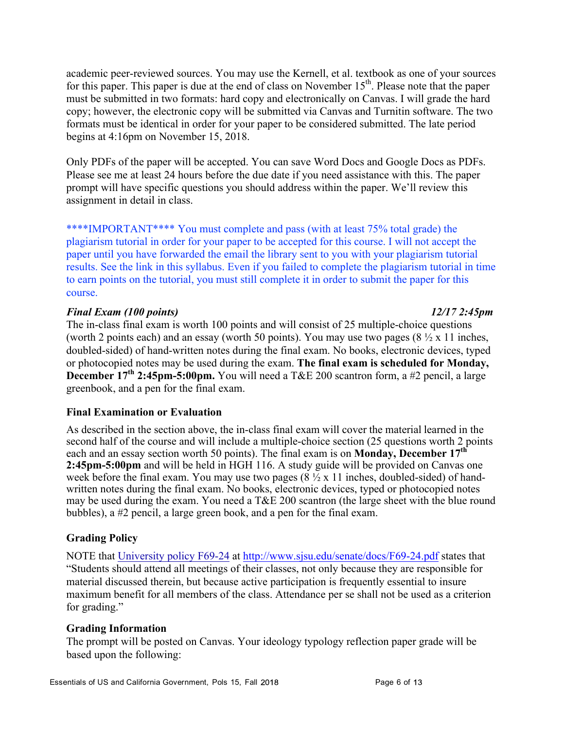academic peer-reviewed sources. You may use the Kernell, et al. textbook as one of your sources for this paper. This paper is due at the end of class on November  $15<sup>th</sup>$ . Please note that the paper must be submitted in two formats: hard copy and electronically on Canvas. I will grade the hard copy; however, the electronic copy will be submitted via Canvas and Turnitin software. The two formats must be identical in order for your paper to be considered submitted. The late period begins at 4:16pm on November 15, 2018.

Only PDFs of the paper will be accepted. You can save Word Docs and Google Docs as PDFs. Please see me at least 24 hours before the due date if you need assistance with this. The paper prompt will have specific questions you should address within the paper. We'll review this assignment in detail in class.

\*\*\*\*IMPORTANT\*\*\*\* You must complete and pass (with at least 75% total grade) the plagiarism tutorial in order for your paper to be accepted for this course. I will not accept the paper until you have forwarded the email the library sent to you with your plagiarism tutorial results. See the link in this syllabus. Even if you failed to complete the plagiarism tutorial in time to earn points on the tutorial, you must still complete it in order to submit the paper for this course.

### *Final Exam (100 points) 12/17 2:45pm*

The in-class final exam is worth 100 points and will consist of 25 multiple-choice questions (worth 2 points each) and an essay (worth 50 points). You may use two pages  $(8 \frac{1}{2} \times 11)$  inches, doubled-sided) of hand-written notes during the final exam. No books, electronic devices, typed or photocopied notes may be used during the exam. **The final exam is scheduled for Monday, December 17th 2:45pm-5:00pm.** You will need a T&E 200 scantron form, a #2 pencil, a large greenbook, and a pen for the final exam.

### **Final Examination or Evaluation**

As described in the section above, the in-class final exam will cover the material learned in the second half of the course and will include a multiple-choice section (25 questions worth 2 points each and an essay section worth 50 points). The final exam is on **Monday, December 17th 2:45pm-5:00pm** and will be held in HGH 116. A study guide will be provided on Canvas one week before the final exam. You may use two pages  $(8\sqrt{2} \times 11)$  inches, doubled-sided) of handwritten notes during the final exam. No books, electronic devices, typed or photocopied notes may be used during the exam. You need a T&E 200 scantron (the large sheet with the blue round bubbles), a #2 pencil, a large green book, and a pen for the final exam.

### **Grading Policy**

NOTE that University policy F69-24 at http://www.sjsu.edu/senate/docs/F69-24.pdf states that "Students should attend all meetings of their classes, not only because they are responsible for material discussed therein, but because active participation is frequently essential to insure maximum benefit for all members of the class. Attendance per se shall not be used as a criterion for grading."

### **Grading Information**

The prompt will be posted on Canvas. Your ideology typology reflection paper grade will be based upon the following: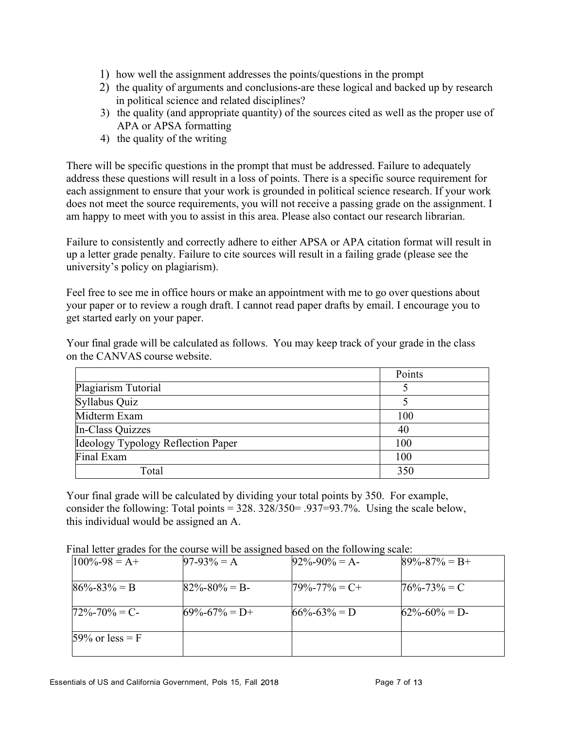- 1) how well the assignment addresses the points/questions in the prompt
- 2) the quality of arguments and conclusions-are these logical and backed up by research in political science and related disciplines?
- 3) the quality (and appropriate quantity) of the sources cited as well as the proper use of APA or APSA formatting
- 4) the quality of the writing

There will be specific questions in the prompt that must be addressed. Failure to adequately address these questions will result in a loss of points. There is a specific source requirement for each assignment to ensure that your work is grounded in political science research. If your work does not meet the source requirements, you will not receive a passing grade on the assignment. I am happy to meet with you to assist in this area. Please also contact our research librarian.

Failure to consistently and correctly adhere to either APSA or APA citation format will result in up a letter grade penalty. Failure to cite sources will result in a failing grade (please see the university's policy on plagiarism).

Feel free to see me in office hours or make an appointment with me to go over questions about your paper or to review a rough draft. I cannot read paper drafts by email. I encourage you to get started early on your paper.

Your final grade will be calculated as follows. You may keep track of your grade in the class on the CANVAS course website.

|                                    | Points |
|------------------------------------|--------|
| Plagiarism Tutorial                |        |
| Syllabus Quiz                      |        |
| Midterm Exam                       | 100    |
| In-Class Quizzes                   | 40     |
| Ideology Typology Reflection Paper | 100    |
| Final Exam                         | 100    |
| Total                              | 350    |

Your final grade will be calculated by dividing your total points by 350. For example, consider the following: Total points = 328. 328/350= .937=93.7%. Using the scale below, this individual would be assigned an A.

Final letter grades for the course will be assigned based on the following scale:

| $100\% - 98 = A +$ | $97-93\% = A$       | $92\% - 90\% = A$   | $89\% - 87\% = B +$ |
|--------------------|---------------------|---------------------|---------------------|
| $86\% - 83\% = B$  | $82\% - 80\% = B$   | $79\% - 77\% = C +$ | $76\% - 73\% = C$   |
| $72\% - 70\% = C$  | $69\% - 67\% = D +$ | $66\% - 63\% = D$   | $62\% - 60\% = D$   |
| $59\%$ or less = F |                     |                     |                     |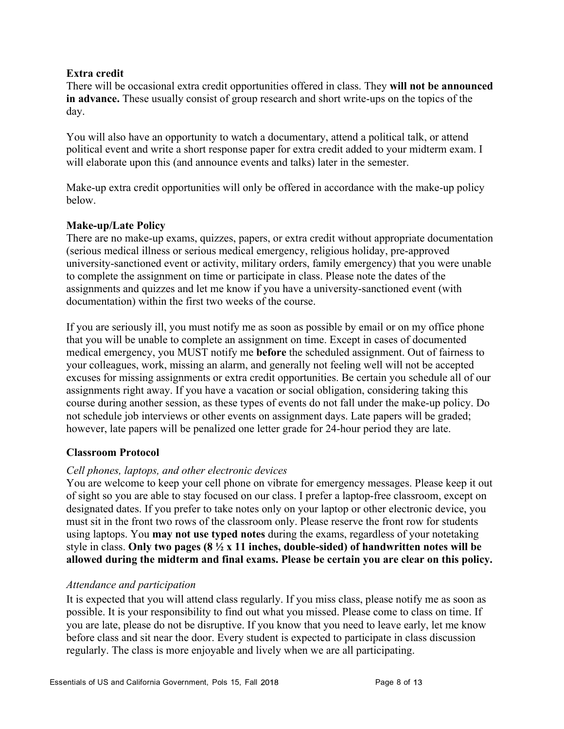### **Extra credit**

There will be occasional extra credit opportunities offered in class. They **will not be announced in advance.** These usually consist of group research and short write-ups on the topics of the day.

You will also have an opportunity to watch a documentary, attend a political talk, or attend political event and write a short response paper for extra credit added to your midterm exam. I will elaborate upon this (and announce events and talks) later in the semester.

Make-up extra credit opportunities will only be offered in accordance with the make-up policy below.

### **Make-up/Late Policy**

There are no make-up exams, quizzes, papers, or extra credit without appropriate documentation (serious medical illness or serious medical emergency, religious holiday, pre-approved university-sanctioned event or activity, military orders, family emergency) that you were unable to complete the assignment on time or participate in class. Please note the dates of the assignments and quizzes and let me know if you have a university-sanctioned event (with documentation) within the first two weeks of the course.

If you are seriously ill, you must notify me as soon as possible by email or on my office phone that you will be unable to complete an assignment on time. Except in cases of documented medical emergency, you MUST notify me **before** the scheduled assignment. Out of fairness to your colleagues, work, missing an alarm, and generally not feeling well will not be accepted excuses for missing assignments or extra credit opportunities. Be certain you schedule all of our assignments right away. If you have a vacation or social obligation, considering taking this course during another session, as these types of events do not fall under the make-up policy. Do not schedule job interviews or other events on assignment days. Late papers will be graded; however, late papers will be penalized one letter grade for 24-hour period they are late.

### **Classroom Protocol**

### *Cell phones, laptops, and other electronic devices*

You are welcome to keep your cell phone on vibrate for emergency messages. Please keep it out of sight so you are able to stay focused on our class. I prefer a laptop-free classroom, except on designated dates. If you prefer to take notes only on your laptop or other electronic device, you must sit in the front two rows of the classroom only. Please reserve the front row for students using laptops. You **may not use typed notes** during the exams, regardless of your notetaking style in class. **Only two pages (8 ½ x 11 inches, double-sided) of handwritten notes will be allowed during the midterm and final exams. Please be certain you are clear on this policy.**

### *Attendance and participation*

It is expected that you will attend class regularly. If you miss class, please notify me as soon as possible. It is your responsibility to find out what you missed. Please come to class on time. If you are late, please do not be disruptive. If you know that you need to leave early, let me know before class and sit near the door. Every student is expected to participate in class discussion regularly. The class is more enjoyable and lively when we are all participating.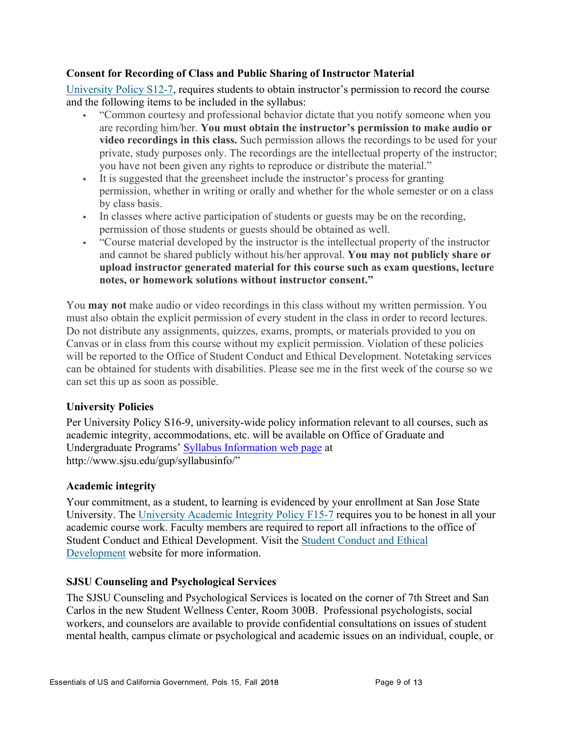### **Consent for Recording of Class and Public Sharing of Instructor Material**

University Policy S12-7, requires students to obtain instructor's permission to record the course and the following items to be included in the syllabus:

- § "Common courtesy and professional behavior dictate that you notify someone when you are recording him/her. **You must obtain the instructor's permission to make audio or video recordings in this class.** Such permission allows the recordings to be used for your private, study purposes only. The recordings are the intellectual property of the instructor; you have not been given any rights to reproduce or distribute the material."
- § It is suggested that the greensheet include the instructor's process for granting permission, whether in writing or orally and whether for the whole semester or on a class by class basis.
- In classes where active participation of students or guests may be on the recording, permission of those students or guests should be obtained as well.
- § "Course material developed by the instructor is the intellectual property of the instructor and cannot be shared publicly without his/her approval. **You may not publicly share or upload instructor generated material for this course such as exam questions, lecture notes, or homework solutions without instructor consent."**

You **may not** make audio or video recordings in this class without my written permission. You must also obtain the explicit permission of every student in the class in order to record lectures. Do not distribute any assignments, quizzes, exams, prompts, or materials provided to you on Canvas or in class from this course without my explicit permission. Violation of these policies will be reported to the Office of Student Conduct and Ethical Development. Notetaking services can be obtained for students with disabilities. Please see me in the first week of the course so we can set this up as soon as possible.

### **University Policies**

Per University Policy S16-9, university-wide policy information relevant to all courses, such as academic integrity, accommodations, etc. will be available on Office of Graduate and Undergraduate Programs' Syllabus Information web page at http://www.sjsu.edu/gup/syllabusinfo/"

### **Academic integrity**

Your commitment, as a student, to learning is evidenced by your enrollment at San Jose State University. The University Academic Integrity Policy F15-7 requires you to be honest in all your academic course work. Faculty members are required to report all infractions to the office of Student Conduct and Ethical Development. Visit the Student Conduct and Ethical Development website for more information.

### **SJSU Counseling and Psychological Services**

The SJSU Counseling and Psychological Services is located on the corner of 7th Street and San Carlos in the new Student Wellness Center, Room 300B. Professional psychologists, social workers, and counselors are available to provide confidential consultations on issues of student mental health, campus climate or psychological and academic issues on an individual, couple, or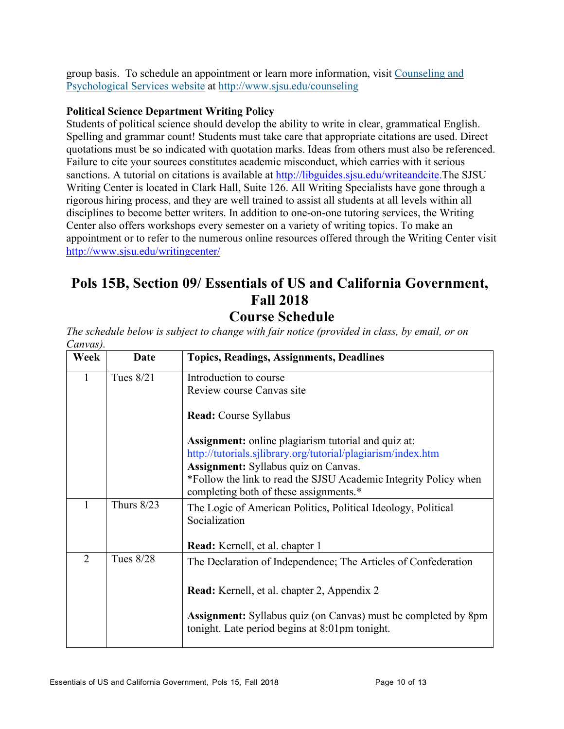group basis. To schedule an appointment or learn more information, visit Counseling and Psychological Services website at http://www.sjsu.edu/counseling

### **Political Science Department Writing Policy**

Students of political science should develop the ability to write in clear, grammatical English. Spelling and grammar count! Students must take care that appropriate citations are used. Direct quotations must be so indicated with quotation marks. Ideas from others must also be referenced. Failure to cite your sources constitutes academic misconduct, which carries with it serious sanctions. A tutorial on citations is available at http://libguides.sjsu.edu/writeandcite.The SJSU Writing Center is located in Clark Hall, Suite 126. All Writing Specialists have gone through a rigorous hiring process, and they are well trained to assist all students at all levels within all disciplines to become better writers. In addition to one-on-one tutoring services, the Writing Center also offers workshops every semester on a variety of writing topics. To make an appointment or to refer to the numerous online resources offered through the Writing Center visit http://www.sjsu.edu/writingcenter/

# **Pols 15B, Section 09/ Essentials of US and California Government, Fall 2018**

# **Course Schedule**

*The schedule below is subject to change with fair notice (provided in class, by email, or on Canvas).* 

| Week           | Date         | <b>Topics, Readings, Assignments, Deadlines</b>                                                                         |
|----------------|--------------|-------------------------------------------------------------------------------------------------------------------------|
| 1              | Tues 8/21    | Introduction to course                                                                                                  |
|                |              | Review course Canvas site                                                                                               |
|                |              | <b>Read:</b> Course Syllabus                                                                                            |
|                |              | <b>Assignment:</b> online plagiarism tutorial and quiz at:                                                              |
|                |              | http://tutorials.sjlibrary.org/tutorial/plagiarism/index.htm                                                            |
|                |              | <b>Assignment:</b> Syllabus quiz on Canvas.                                                                             |
|                |              | *Follow the link to read the SJSU Academic Integrity Policy when<br>completing both of these assignments.*              |
| 1              | Thurs $8/23$ | The Logic of American Politics, Political Ideology, Political<br>Socialization                                          |
|                |              | Read: Kernell, et al. chapter 1                                                                                         |
| $\overline{2}$ | Tues 8/28    | The Declaration of Independence; The Articles of Confederation                                                          |
|                |              | Read: Kernell, et al. chapter 2, Appendix 2                                                                             |
|                |              | <b>Assignment:</b> Syllabus quiz (on Canvas) must be completed by 8pm<br>tonight. Late period begins at 8:01pm tonight. |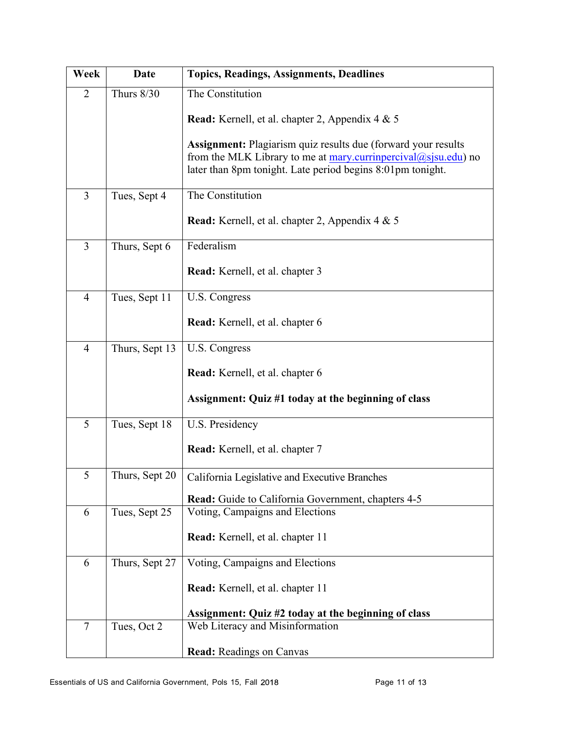| Week           | Date              | <b>Topics, Readings, Assignments, Deadlines</b>                                                                                                                                                      |
|----------------|-------------------|------------------------------------------------------------------------------------------------------------------------------------------------------------------------------------------------------|
| $\overline{2}$ | <b>Thurs 8/30</b> | The Constitution                                                                                                                                                                                     |
|                |                   | <b>Read:</b> Kernell, et al. chapter 2, Appendix 4 & 5                                                                                                                                               |
|                |                   | <b>Assignment:</b> Plagiarism quiz results due (forward your results<br>from the MLK Library to me at mary curringercival@sjsu.edu) no<br>later than 8pm tonight. Late period begins 8:01pm tonight. |
| $\overline{3}$ | Tues, Sept 4      | The Constitution                                                                                                                                                                                     |
|                |                   | Read: Kernell, et al. chapter 2, Appendix 4 & 5                                                                                                                                                      |
| $\overline{3}$ | Thurs, Sept 6     | Federalism                                                                                                                                                                                           |
|                |                   | Read: Kernell, et al. chapter 3                                                                                                                                                                      |
| $\overline{4}$ | Tues, Sept 11     | U.S. Congress                                                                                                                                                                                        |
|                |                   | Read: Kernell, et al. chapter 6                                                                                                                                                                      |
| $\overline{4}$ | Thurs, Sept 13    | U.S. Congress                                                                                                                                                                                        |
|                |                   | Read: Kernell, et al. chapter 6                                                                                                                                                                      |
|                |                   | Assignment: Quiz #1 today at the beginning of class                                                                                                                                                  |
| 5              | Tues, Sept 18     | U.S. Presidency                                                                                                                                                                                      |
|                |                   | Read: Kernell, et al. chapter 7                                                                                                                                                                      |
| 5              | Thurs, Sept 20    | California Legislative and Executive Branches                                                                                                                                                        |
|                |                   | <b>Read:</b> Guide to California Government, chapters 4-5                                                                                                                                            |
| 6              | Tues, Sept 25     | Voting, Campaigns and Elections                                                                                                                                                                      |
|                |                   | Read: Kernell, et al. chapter 11                                                                                                                                                                     |
| 6              | Thurs, Sept 27    | Voting, Campaigns and Elections                                                                                                                                                                      |
|                |                   | Read: Kernell, et al. chapter 11                                                                                                                                                                     |
|                |                   | Assignment: Quiz #2 today at the beginning of class                                                                                                                                                  |
| $\overline{7}$ | Tues, Oct 2       | Web Literacy and Misinformation                                                                                                                                                                      |
|                |                   | <b>Read:</b> Readings on Canvas                                                                                                                                                                      |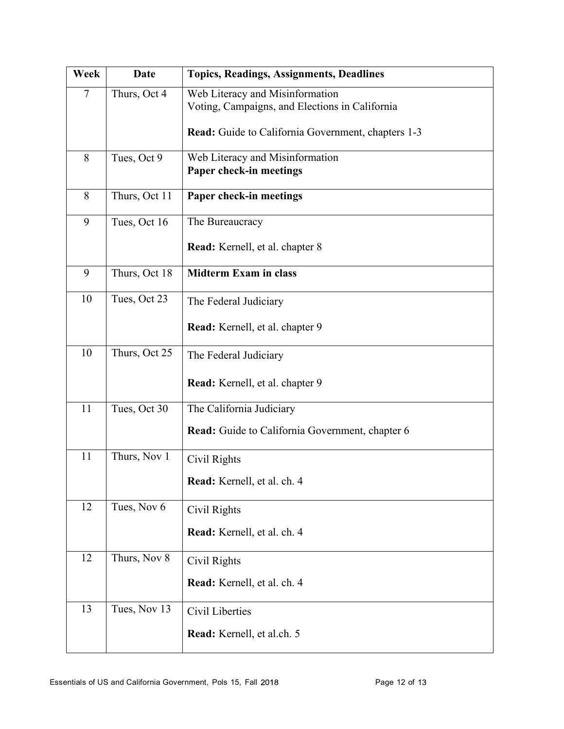| Week           | Date          | <b>Topics, Readings, Assignments, Deadlines</b>                                   |
|----------------|---------------|-----------------------------------------------------------------------------------|
| $\overline{7}$ | Thurs, Oct 4  | Web Literacy and Misinformation<br>Voting, Campaigns, and Elections in California |
|                |               | Read: Guide to California Government, chapters 1-3                                |
| 8              | Tues, Oct 9   | Web Literacy and Misinformation<br>Paper check-in meetings                        |
| 8              | Thurs, Oct 11 | Paper check-in meetings                                                           |
| 9              | Tues, Oct 16  | The Bureaucracy                                                                   |
|                |               | Read: Kernell, et al. chapter 8                                                   |
| 9              | Thurs, Oct 18 | <b>Midterm Exam in class</b>                                                      |
| 10             | Tues, Oct 23  | The Federal Judiciary                                                             |
|                |               | Read: Kernell, et al. chapter 9                                                   |
| 10             | Thurs, Oct 25 | The Federal Judiciary                                                             |
|                |               | Read: Kernell, et al. chapter 9                                                   |
| 11             | Tues, Oct 30  | The California Judiciary                                                          |
|                |               | Read: Guide to California Government, chapter 6                                   |
| 11             | Thurs, Nov 1  | Civil Rights                                                                      |
|                |               | Read: Kernell, et al. ch. 4                                                       |
| 12             | Tues, Nov 6   | Civil Rights                                                                      |
|                |               | Read: Kernell, et al. ch. 4                                                       |
| 12             | Thurs, Nov 8  | Civil Rights                                                                      |
|                |               | Read: Kernell, et al. ch. 4                                                       |
| 13             | Tues, Nov 13  | Civil Liberties                                                                   |
|                |               | Read: Kernell, et al.ch. 5                                                        |